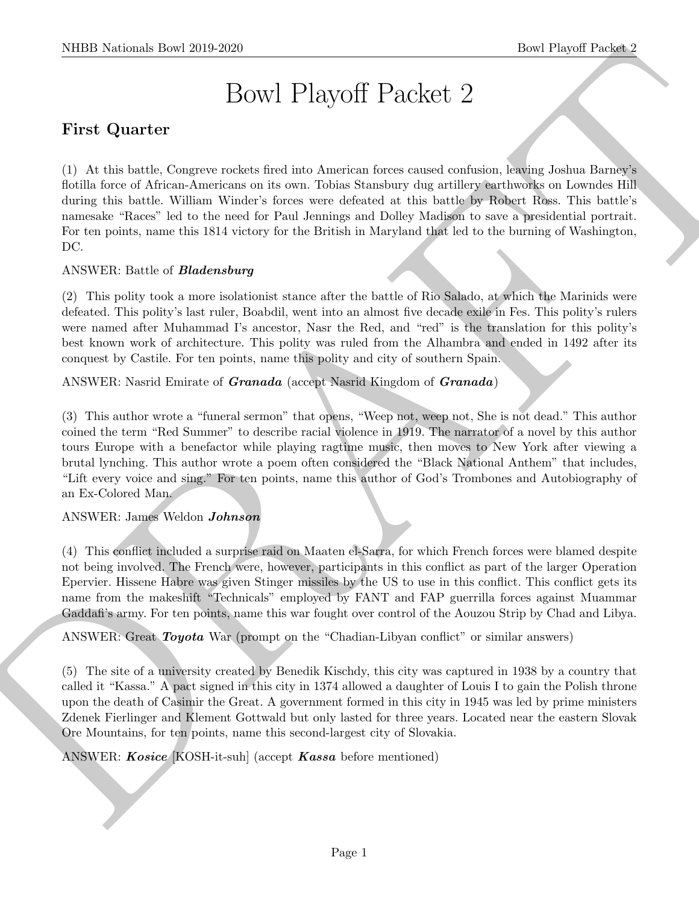# Bowl Playoff Packet 2

# First Quarter

SIIDE Normals How 2019-2020<br>
Bowl Playoff Parcelet 22<br>
Tirst Quarter<br>
1 Bowl Playoff Parcelet 22<br>
Tirst Quarter<br>
1 D. At his bowl Attent American on its own. Indice Sometion does not<br>only a suitable force of all the secon (1) At this battle, Congreve rockets fired into American forces caused confusion, leaving Joshua Barney's flotilla force of African-Americans on its own. Tobias Stansbury dug artillery earthworks on Lowndes Hill during this battle. William Winder's forces were defeated at this battle by Robert Ross. This battle's namesake "Races" led to the need for Paul Jennings and Dolley Madison to save a presidential portrait. For ten points, name this 1814 victory for the British in Maryland that led to the burning of Washington, DC.

#### ANSWER: Battle of Bladensburg

(2) This polity took a more isolationist stance after the battle of Rio Salado, at which the Marinids were defeated. This polity's last ruler, Boabdil, went into an almost five decade exile in Fes. This polity's rulers were named after Muhammad I's ancestor, Nasr the Red, and "red" is the translation for this polity's best known work of architecture. This polity was ruled from the Alhambra and ended in 1492 after its conquest by Castile. For ten points, name this polity and city of southern Spain.

#### ANSWER: Nasrid Emirate of **Granada** (accept Nasrid Kingdom of **Granada**)

(3) This author wrote a "funeral sermon" that opens, "Weep not, weep not, She is not dead." This author coined the term "Red Summer" to describe racial violence in 1919. The narrator of a novel by this author tours Europe with a benefactor while playing ragtime music, then moves to New York after viewing a brutal lynching. This author wrote a poem often considered the "Black National Anthem" that includes, "Lift every voice and sing." For ten points, name this author of God's Trombones and Autobiography of an Ex-Colored Man.

#### ANSWER: James Weldon Johnson

(4) This conflict included a surprise raid on Maaten el-Sarra, for which French forces were blamed despite not being involved. The French were, however, participants in this conflict as part of the larger Operation Epervier. Hissene Habre was given Stinger missiles by the US to use in this conflict. This conflict gets its name from the makeshift "Technicals" employed by FANT and FAP guerrilla forces against Muammar Gaddafi's army. For ten points, name this war fought over control of the Aouzou Strip by Chad and Libya.

ANSWER: Great *Toyota* War (prompt on the "Chadian-Libyan conflict" or similar answers)

(5) The site of a university created by Benedik Kischdy, this city was captured in 1938 by a country that called it "Kassa." A pact signed in this city in 1374 allowed a daughter of Louis I to gain the Polish throne upon the death of Casimir the Great. A government formed in this city in 1945 was led by prime ministers Zdenek Fierlinger and Klement Gottwald but only lasted for three years. Located near the eastern Slovak Ore Mountains, for ten points, name this second-largest city of Slovakia.

ANSWER: *Kosice* [KOSH-it-suh] (accept *Kassa* before mentioned)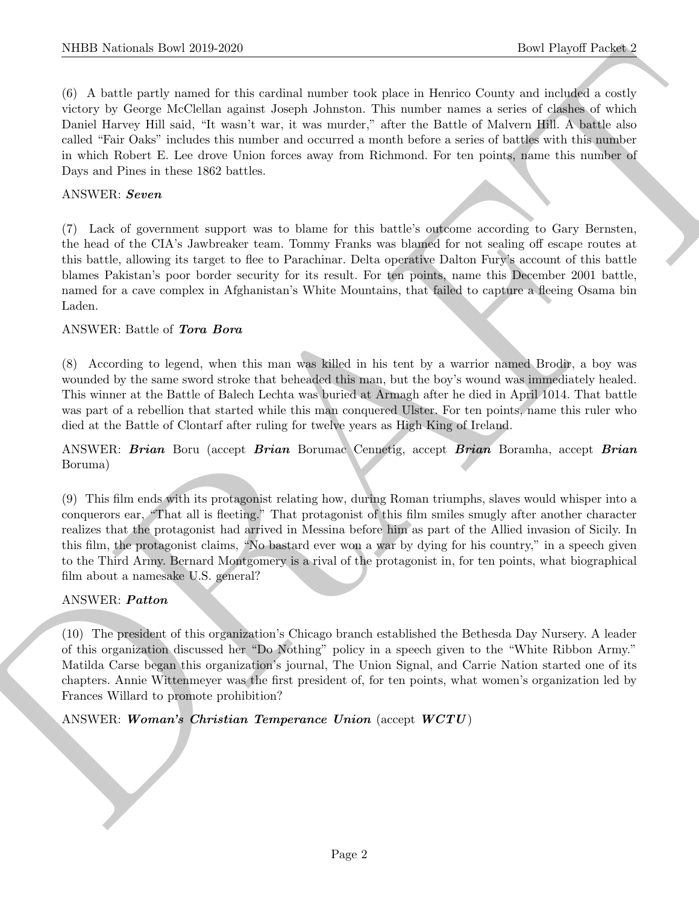(6) A battle partly named for this cardinal number took place in Henrico County and included a costly victory by George McClellan against Joseph Johnston. This number names a series of clashes of which Daniel Harvey Hill said, "It wasn't war, it was murder," after the Battle of Malvern Hill. A battle also called "Fair Oaks" includes this number and occurred a month before a series of battles with this number in which Robert E. Lee drove Union forces away from Richmond. For ten points, name this number of Days and Pines in these 1862 battles.

#### ANSWER: Seven

(7) Lack of government support was to blame for this battle's outcome according to Gary Bernsten, the head of the CIA's Jawbreaker team. Tommy Franks was blamed for not sealing off escape routes at this battle, allowing its target to flee to Parachinar. Delta operative Dalton Fury's account of this battle blames Pakistan's poor border security for its result. For ten points, name this December 2001 battle, named for a cave complex in Afghanistan's White Mountains, that failed to capture a fleeing Osama bin Laden.

#### ANSWER: Battle of Tora Bora

(8) According to legend, when this man was killed in his tent by a warrior named Brodir, a boy was wounded by the same sword stroke that beheaded this man, but the boy's wound was immediately healed. This winner at the Battle of Balech Lechta was buried at Armagh after he died in April 1014. That battle was part of a rebellion that started while this man conquered Ulster. For ten points, name this ruler who died at the Battle of Clontarf after ruling for twelve years as High King of Ireland.

#### ANSWER: Brian Boru (accept Brian Borumac Cennetig, accept Brian Boramha, accept Brian Boruma)

NIBB Noticeals how 2019-2020.<br>
(b) A bettie reaches and the souther analysis and the souther control the set of the state of the state of the state of the state of the state of the state of the state of the state of the s (9) This film ends with its protagonist relating how, during Roman triumphs, slaves would whisper into a conquerors ear, "That all is fleeting." That protagonist of this film smiles smugly after another character realizes that the protagonist had arrived in Messina before him as part of the Allied invasion of Sicily. In this film, the protagonist claims, "No bastard ever won a war by dying for his country," in a speech given to the Third Army. Bernard Montgomery is a rival of the protagonist in, for ten points, what biographical film about a namesake U.S. general?

#### ANSWER: Patton

(10) The president of this organization's Chicago branch established the Bethesda Day Nursery. A leader of this organization discussed her "Do Nothing" policy in a speech given to the "White Ribbon Army." Matilda Carse began this organization's journal, The Union Signal, and Carrie Nation started one of its chapters. Annie Wittenmeyer was the first president of, for ten points, what women's organization led by Frances Willard to promote prohibition?

ANSWER: Woman's Christian Temperance Union (accept  $WCTU$ )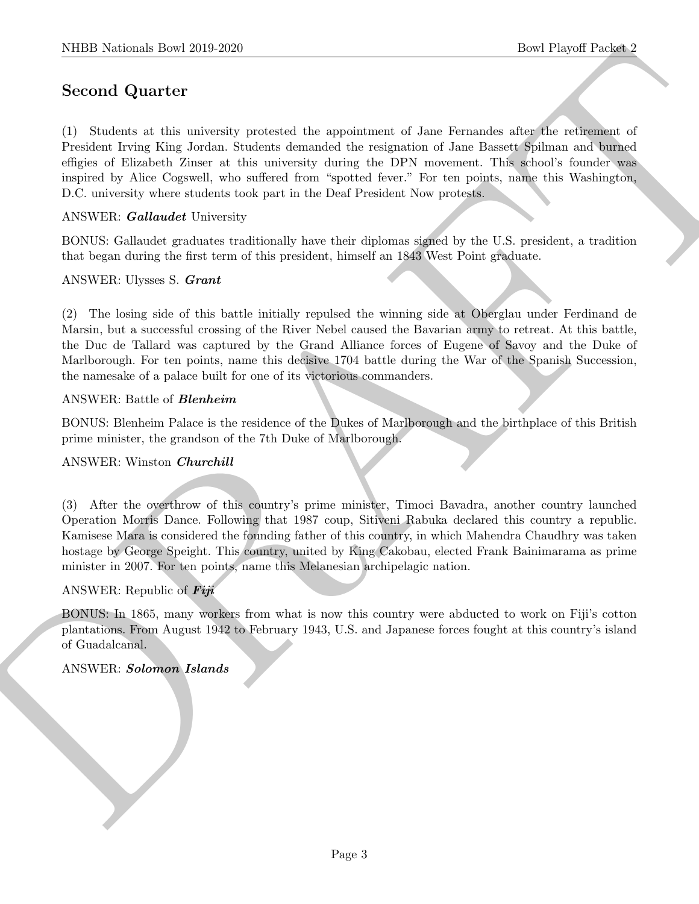## Second Quarter

SIBD Notionals how 2019-2020.<br>
Second Quarter (Constant Lie appointment of since the matrix and the constant of the state of the state of the state of the state of the state of the state of the state of the state of the s (1) Students at this university protested the appointment of Jane Fernandes after the retirement of President Irving King Jordan. Students demanded the resignation of Jane Bassett Spilman and burned effigies of Elizabeth Zinser at this university during the DPN movement. This school's founder was inspired by Alice Cogswell, who suffered from "spotted fever." For ten points, name this Washington, D.C. university where students took part in the Deaf President Now protests.

#### ANSWER: Gallaudet University

BONUS: Gallaudet graduates traditionally have their diplomas signed by the U.S. president, a tradition that began during the first term of this president, himself an 1843 West Point graduate.

ANSWER: Ulysses S. Grant

(2) The losing side of this battle initially repulsed the winning side at Oberglau under Ferdinand de Marsin, but a successful crossing of the River Nebel caused the Bavarian army to retreat. At this battle, the Duc de Tallard was captured by the Grand Alliance forces of Eugene of Savoy and the Duke of Marlborough. For ten points, name this decisive 1704 battle during the War of the Spanish Succession, the namesake of a palace built for one of its victorious commanders.

#### ANSWER: Battle of Blenheim

BONUS: Blenheim Palace is the residence of the Dukes of Marlborough and the birthplace of this British prime minister, the grandson of the 7th Duke of Marlborough.

#### ANSWER: Winston Churchill

(3) After the overthrow of this country's prime minister, Timoci Bavadra, another country launched Operation Morris Dance. Following that 1987 coup, Sitiveni Rabuka declared this country a republic. Kamisese Mara is considered the founding father of this country, in which Mahendra Chaudhry was taken hostage by George Speight. This country, united by King Cakobau, elected Frank Bainimarama as prime minister in 2007. For ten points, name this Melanesian archipelagic nation.

#### ANSWER: Republic of Fiji

BONUS: In 1865, many workers from what is now this country were abducted to work on Fiji's cotton plantations. From August 1942 to February 1943, U.S. and Japanese forces fought at this country's island of Guadalcanal.

#### ANSWER: Solomon Islands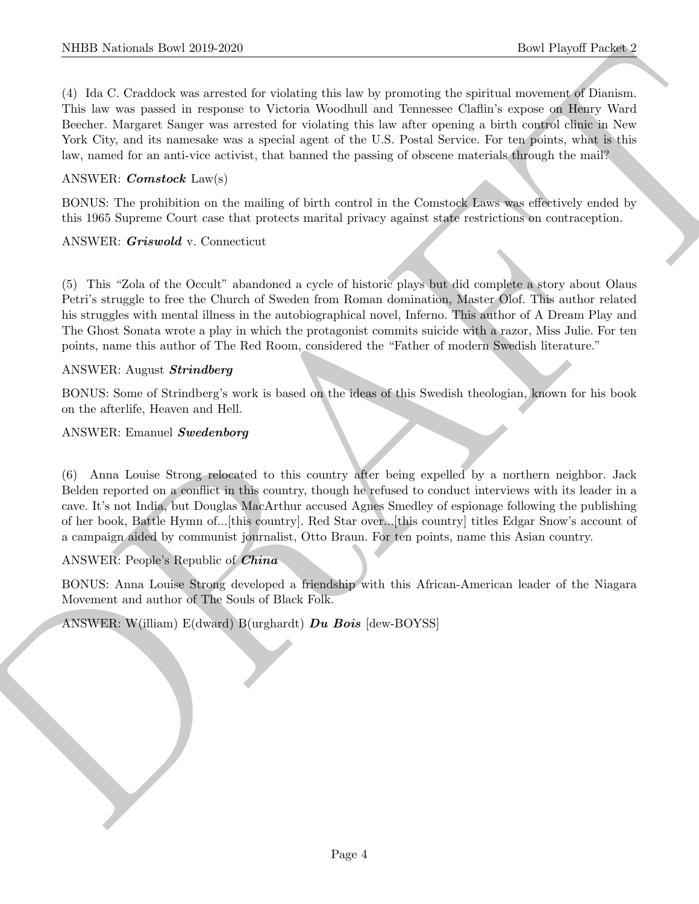NIBB Noticeals how 2019-2020.<br>
The Playeri Passets of the School (1988). The Playeri Passets of the School (1988) and the School (1988) and the School (1988) and the School (1988) and the School (1988) and the School (198 (4) Ida C. Craddock was arrested for violating this law by promoting the spiritual movement of Dianism. This law was passed in response to Victoria Woodhull and Tennessee Claflin's expose on Henry Ward Beecher. Margaret Sanger was arrested for violating this law after opening a birth control clinic in New York City, and its namesake was a special agent of the U.S. Postal Service. For ten points, what is this law, named for an anti-vice activist, that banned the passing of obscene materials through the mail?

#### ANSWER: Comstock Law(s)

BONUS: The prohibition on the mailing of birth control in the Comstock Laws was effectively ended by this 1965 Supreme Court case that protects marital privacy against state restrictions on contraception.

#### ANSWER: Griswold v. Connecticut

(5) This "Zola of the Occult" abandoned a cycle of historic plays but did complete a story about Olaus Petri's struggle to free the Church of Sweden from Roman domination, Master Olof. This author related his struggles with mental illness in the autobiographical novel, Inferno. This author of A Dream Play and The Ghost Sonata wrote a play in which the protagonist commits suicide with a razor, Miss Julie. For ten points, name this author of The Red Room, considered the "Father of modern Swedish literature."

#### ANSWER: August Strindberg

BONUS: Some of Strindberg's work is based on the ideas of this Swedish theologian, known for his book on the afterlife, Heaven and Hell.

#### ANSWER: Emanuel Swedenborg

(6) Anna Louise Strong relocated to this country after being expelled by a northern neighbor. Jack Belden reported on a conflict in this country, though he refused to conduct interviews with its leader in a cave. It's not India, but Douglas MacArthur accused Agnes Smedley of espionage following the publishing of her book, Battle Hymn of...[this country]. Red Star over...[this country] titles Edgar Snow's account of a campaign aided by communist journalist, Otto Braun. For ten points, name this Asian country.

#### ANSWER: People's Republic of China

BONUS: Anna Louise Strong developed a friendship with this African-American leader of the Niagara Movement and author of The Souls of Black Folk.

ANSWER: W(illiam)  $E(dward)$  B(urghardt) Du Bois  $[dev-BOYSS]$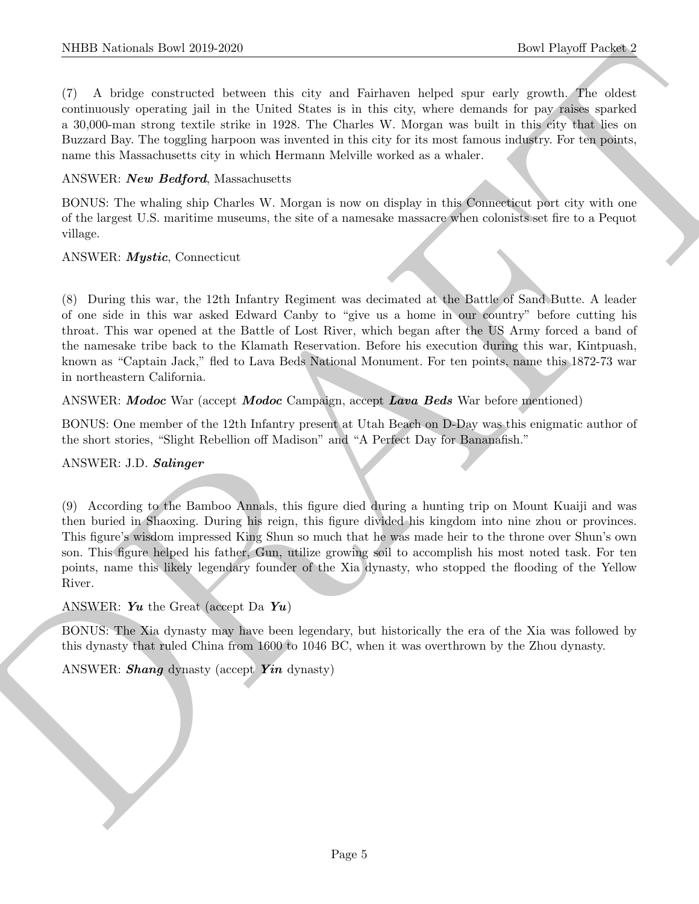(7) A bridge constructed between this city and Fairhaven helped spur early growth. The oldest continuously operating jail in the United States is in this city, where demands for pay raises sparked a 30,000-man strong textile strike in 1928. The Charles W. Morgan was built in this city that lies on Buzzard Bay. The toggling harpoon was invented in this city for its most famous industry. For ten points, name this Massachusetts city in which Hermann Melville worked as a whaler.

#### ANSWER: New Bedford, Massachusetts

BONUS: The whaling ship Charles W. Morgan is now on display in this Connecticut port city with one of the largest U.S. maritime museums, the site of a namesake massacre when colonists set fire to a Pequot village.

#### ANSWER: Mystic, Connecticut

(8) During this war, the 12th Infantry Regiment was decimated at the Battle of Sand Butte. A leader of one side in this war asked Edward Canby to "give us a home in our country" before cutting his throat. This war opened at the Battle of Lost River, which began after the US Army forced a band of the namesake tribe back to the Klamath Reservation. Before his execution during this war, Kintpuash, known as "Captain Jack," fled to Lava Beds National Monument. For ten points, name this 1872-73 war in northeastern California.

#### ANSWER: Modoc War (accept Modoc Campaign, accept Lava Beds War before mentioned)

BONUS: One member of the 12th Infantry present at Utah Beach on D-Day was this enigmatic author of the short stories, "Slight Rebellion off Madison" and "A Perfect Day for Bananafish."

#### ANSWER: J.D. Salinger

NIBB Notionals how 2019-2020<br>
T. A hidden contained best were this city and Endower is therefore the properties and contain the properties of the state<br>
continuously synchrise paths of the Formal Source of which experimen (9) According to the Bamboo Annals, this figure died during a hunting trip on Mount Kuaiji and was then buried in Shaoxing. During his reign, this figure divided his kingdom into nine zhou or provinces. This figure's wisdom impressed King Shun so much that he was made heir to the throne over Shun's own son. This figure helped his father, Gun, utilize growing soil to accomplish his most noted task. For ten points, name this likely legendary founder of the Xia dynasty, who stopped the flooding of the Yellow River.

#### ANSWER: Yu the Great (accept Da Yu)

BONUS: The Xia dynasty may have been legendary, but historically the era of the Xia was followed by this dynasty that ruled China from 1600 to 1046 BC, when it was overthrown by the Zhou dynasty.

ANSWER: **Shang** dynasty (accept **Yin** dynasty)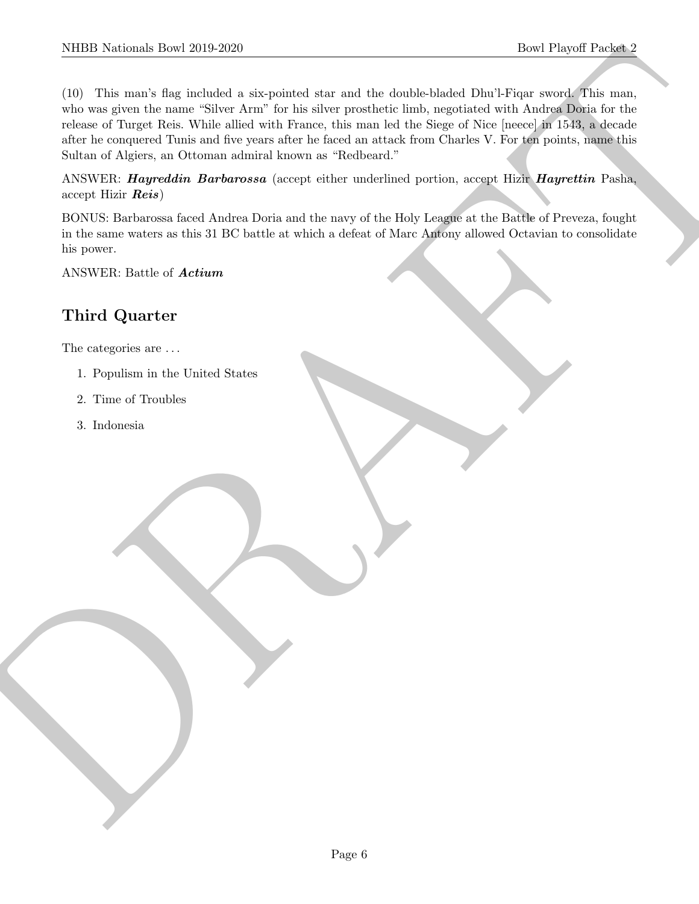SIIDE Normals them 2019-2220.<br>
The Player Payer is considered a single deviation of the background of the smaller deviate background with American soveral that and the same of the same of the same of the same of the same (10) This man's flag included a six-pointed star and the double-bladed Dhu'l-Fiqar sword. This man, who was given the name "Silver Arm" for his silver prosthetic limb, negotiated with Andrea Doria for the release of Turget Reis. While allied with France, this man led the Siege of Nice [neece] in 1543, a decade after he conquered Tunis and five years after he faced an attack from Charles V. For ten points, name this Sultan of Algiers, an Ottoman admiral known as "Redbeard."

ANSWER: *Hayreddin Barbarossa* (accept either underlined portion, accept Hizir *Hayrettin* Pasha, accept Hizir Reis)

BONUS: Barbarossa faced Andrea Doria and the navy of the Holy League at the Battle of Preveza, fought in the same waters as this 31 BC battle at which a defeat of Marc Antony allowed Octavian to consolidate his power.

ANSWER: Battle of Actium

# Third Quarter

The categories are . . .

- 1. Populism in the United States
- 2. Time of Troubles
- 3. Indonesia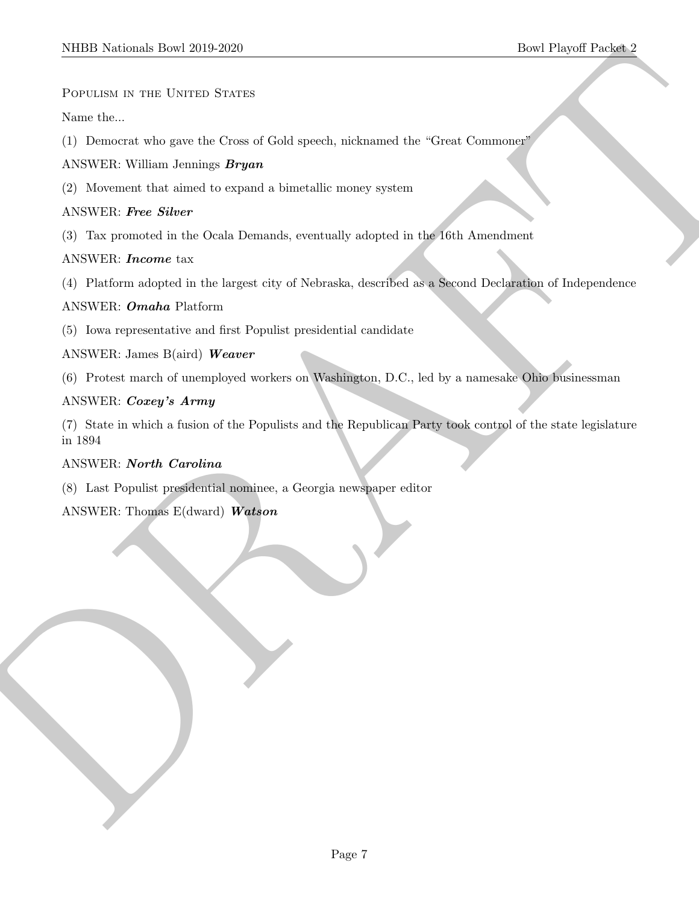POPULISM IN THE UNITED STATES

Name the...

(1) Democrat who gave the Cross of Gold speech, nicknamed the "Great Commoner"

ANSWER: William Jennings Bryan

(2) Movement that aimed to expand a bimetallic money system

#### ANSWER: Free Silver

(3) Tax promoted in the Ocala Demands, eventually adopted in the 16th Amendment

#### ANSWER: Income tax

(4) Platform adopted in the largest city of Nebraska, described as a Second Declaration of Independence

#### ANSWER: Omaha Platform

(5) Iowa representative and first Populist presidential candidate

ANSWER: James B(aird) Weaver

(6) Protest march of unemployed workers on Washington, D.C., led by a namesake Ohio businessman

#### ANSWER: Coxey's Army

SIIDED Nortonals There 2019 2020<br>
Power Lucia at The Users of Color and Color appears, release of the "Crime Community"<br>
ANNEW RE Was a Joseph and Color and Color and Color and Color Times Community<br>
ANNEW RE Power Sides a (7) State in which a fusion of the Populists and the Republican Party took control of the state legislature in 1894

#### ANSWER: North Carolina

(8) Last Populist presidential nominee, a Georgia newspaper editor

ANSWER: Thomas E(dward) Watson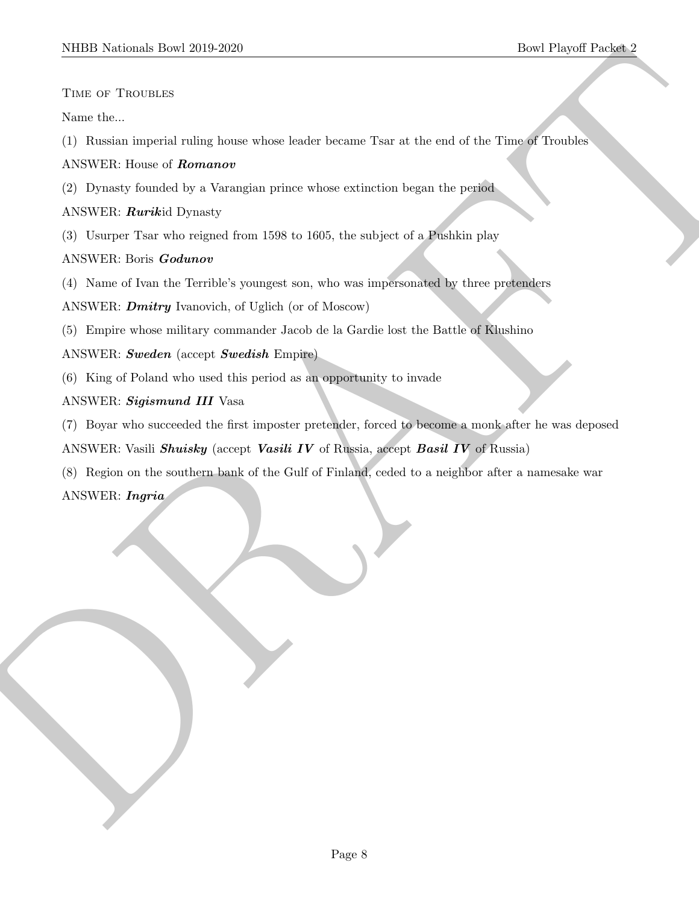Time of Troubles

Name the...

(1) Russian imperial ruling house whose leader became Tsar at the end of the Time of Troubles

ANSWER: House of Romanov

(2) Dynasty founded by a Varangian prince whose extinction began the period

ANSWER: Rurikid Dynasty

(3) Usurper Tsar who reigned from 1598 to 1605, the subject of a Pushkin play

#### ANSWER: Boris Godunov

(4) Name of Ivan the Terrible's youngest son, who was impersonated by three pretenders

ANSWER: **Dmitry** Ivanovich, of Uglich (or of Moscow)

(5) Empire whose military commander Jacob de la Gardie lost the Battle of Klushino

ANSWER: Sweden (accept Swedish Empire)

(6) King of Poland who used this period as an opportunity to invade

- ANSWER: Sigismund III Vasa
- (7) Boyar who succeeded the first imposter pretender, forced to become a monk after he was deposed

ANSWER: Vasili *Shuisky* (accept *Vasili IV* of Russia, accept *Basil IV* of Russia)

NIBER Normal: Deel 2019-2020<br>
Deel Poyseft Deel<br>
Normal Deel Control ming have whose looker houses. That at the end of the Times of Translate<br>
ANNY RE House of development<br>
(2) Depends founded by a Ventaginal prime where e (8) Region on the southern bank of the Gulf of Finland, ceded to a neighbor after a namesake war ANSWER: Ingria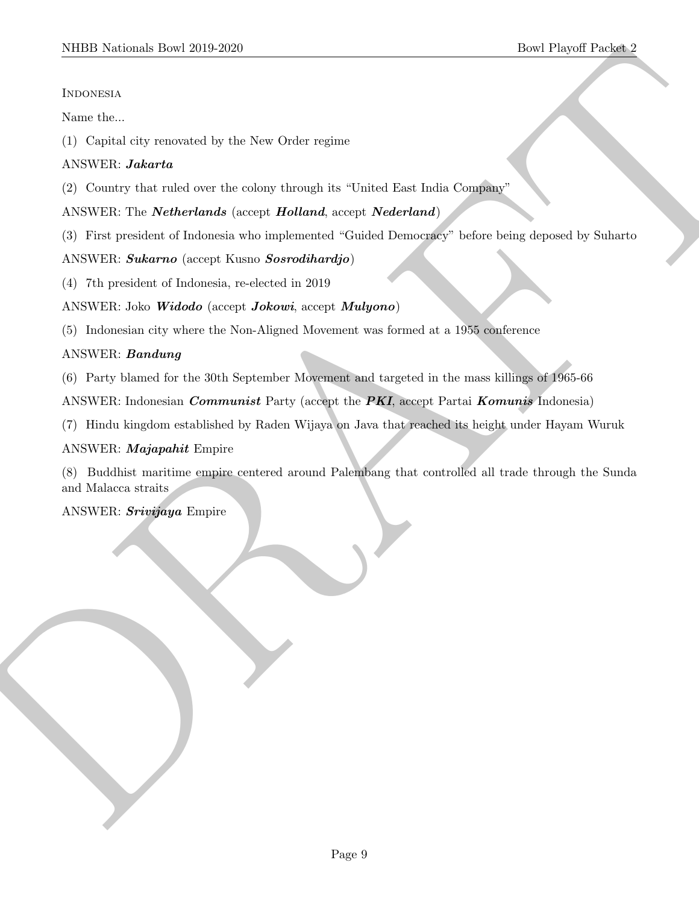#### Indonesia

Name the...

(1) Capital city renovated by the New Order regime

#### ANSWER: Jakarta

(2) Country that ruled over the colony through its "United East India Company"

#### ANSWER: The *Netherlands* (accept *Holland*, accept *Nederland*)

(3) First president of Indonesia who implemented "Guided Democracy" before being deposed by Suharto

#### ANSWER: Sukarno (accept Kusno Sosrodihardjo)

(4) 7th president of Indonesia, re-elected in 2019

#### ANSWER: Joko Widodo (accept Jokowi, accept Mulyono)

(5) Indonesian city where the Non-Aligned Movement was formed at a 1955 conference

#### ANSWER: Bandung

(6) Party blamed for the 30th September Movement and targeted in the mass killings of 1965-66

ANSWER: Indonesian *Communist* Party (accept the PKI, accept Partai *Komunis* Indonesia)

(7) Hindu kingdom established by Raden Wijaya on Java that reached its height under Hayam Wuruk

#### ANSWER: Majapahit Empire

SIDDI Norional: Dowl 2019-2020<br>
Novel Poysit Posterior<br>
North Legislation<br>
2010 Copies des versionnel by the New Order regine<br>
ANSWER: *Debetriands* (overy *Librium de Value Couplines*<br>
22) Commy dat raind over the endog (8) Buddhist maritime empire centered around Palembang that controlled all trade through the Sunda and Malacca straits

ANSWER: Srivijaya Empire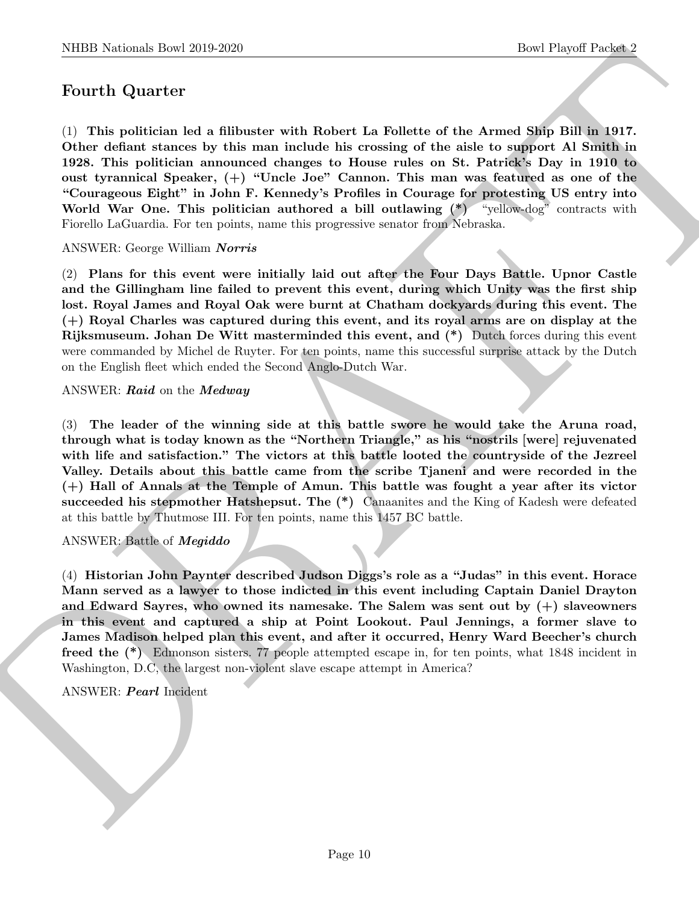## Fourth Quarter

NIBB Noticeals how 20:0 269<br>
Devel Poyent Poyent Poyent Poyent Poyent Poyent Poyent Poyent Poyent<br>
To This politicism led a filluoteer with Hobert La Fuldeble of the Areae of Spin Bill in 1917.<br>
Cities chellent factors by (1) This politician led a filibuster with Robert La Follette of the Armed Ship Bill in 1917. Other defiant stances by this man include his crossing of the aisle to support Al Smith in 1928. This politician announced changes to House rules on St. Patrick's Day in 1910 to oust tyrannical Speaker, (+) "Uncle Joe" Cannon. This man was featured as one of the "Courageous Eight" in John F. Kennedy's Profiles in Courage for protesting US entry into World War One. This politician authored a bill outlawing  $(*)$  "yellow-dog" contracts with Fiorello LaGuardia. For ten points, name this progressive senator from Nebraska.

ANSWER: George William Norris

(2) Plans for this event were initially laid out after the Four Days Battle. Upnor Castle and the Gillingham line failed to prevent this event, during which Unity was the first ship lost. Royal James and Royal Oak were burnt at Chatham dockyards during this event. The (+) Royal Charles was captured during this event, and its royal arms are on display at the Rijksmuseum. Johan De Witt masterminded this event, and (\*) Dutch forces during this event were commanded by Michel de Ruyter. For ten points, name this successful surprise attack by the Dutch on the English fleet which ended the Second Anglo-Dutch War.

#### ANSWER: Raid on the Medway

(3) The leader of the winning side at this battle swore he would take the Aruna road, through what is today known as the "Northern Triangle," as his "nostrils [were] rejuvenated with life and satisfaction." The victors at this battle looted the countryside of the Jezreel Valley. Details about this battle came from the scribe Tjaneni and were recorded in the (+) Hall of Annals at the Temple of Amun. This battle was fought a year after its victor succeeded his stepmother Hatshepsut. The (\*) Canaanites and the King of Kadesh were defeated at this battle by Thutmose III. For ten points, name this 1457 BC battle.

#### ANSWER: Battle of Megiddo

(4) Historian John Paynter described Judson Diggs's role as a "Judas" in this event. Horace Mann served as a lawyer to those indicted in this event including Captain Daniel Drayton and Edward Sayres, who owned its namesake. The Salem was sent out by  $(+)$  slaveowners in this event and captured a ship at Point Lookout. Paul Jennings, a former slave to James Madison helped plan this event, and after it occurred, Henry Ward Beecher's church freed the (\*) Edmonson sisters. 77 people attempted escape in, for ten points, what 1848 incident in Washington, D.C, the largest non-violent slave escape attempt in America?

#### ANSWER: Pearl Incident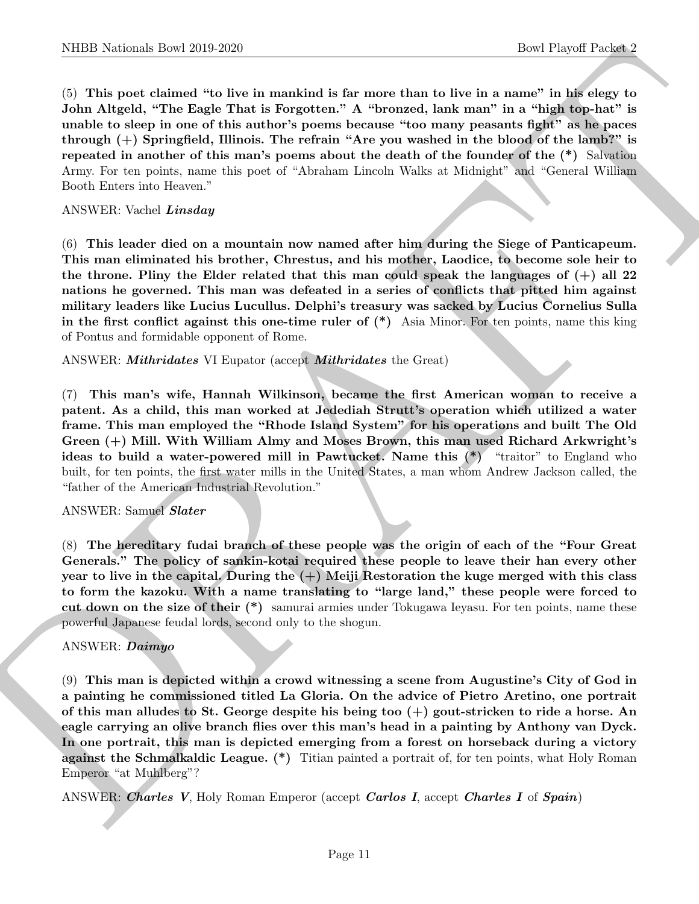NIBER Noticeals how 2019 2629<br>
Contributed the manifold is for easier to the sin a method of the sin associated the sin a matrix in the sin and<br>
Contributed to the sinus of the sinus contributed to the sin a matrix<br>
and t (5) This poet claimed "to live in mankind is far more than to live in a name" in his elegy to John Altgeld, "The Eagle That is Forgotten." A "bronzed, lank man" in a "high top-hat" is unable to sleep in one of this author's poems because "too many peasants fight" as he paces through (+) Springfield, Illinois. The refrain "Are you washed in the blood of the lamb?" is repeated in another of this man's poems about the death of the founder of the (\*) Salvation Army. For ten points, name this poet of "Abraham Lincoln Walks at Midnight" and "General William Booth Enters into Heaven."

#### ANSWER: Vachel Linsday

(6) This leader died on a mountain now named after him during the Siege of Panticapeum. This man eliminated his brother, Chrestus, and his mother, Laodice, to become sole heir to the throne. Pliny the Elder related that this man could speak the languages of  $(+)$  all 22 nations he governed. This man was defeated in a series of conflicts that pitted him against military leaders like Lucius Lucullus. Delphi's treasury was sacked by Lucius Cornelius Sulla in the first conflict against this one-time ruler of (\*) Asia Minor. For ten points, name this king of Pontus and formidable opponent of Rome.

ANSWER: *Mithridates* VI Eupator (accept *Mithridates* the Great)

(7) This man's wife, Hannah Wilkinson, became the first American woman to receive a patent. As a child, this man worked at Jedediah Strutt's operation which utilized a water frame. This man employed the "Rhode Island System" for his operations and built The Old Green (+) Mill. With William Almy and Moses Brown, this man used Richard Arkwright's ideas to build a water-powered mill in Pawtucket. Name this  $(*)$  "traitor" to England who built, for ten points, the first water mills in the United States, a man whom Andrew Jackson called, the "father of the American Industrial Revolution."

#### ANSWER: Samuel Slater

(8) The hereditary fudai branch of these people was the origin of each of the "Four Great Generals." The policy of sankin-kotai required these people to leave their han every other year to live in the capital. During the  $(+)$  Meiji Restoration the kuge merged with this class to form the kazoku. With a name translating to "large land," these people were forced to cut down on the size of their (\*) samurai armies under Tokugawa Ieyasu. For ten points, name these powerful Japanese feudal lords, second only to the shogun.

#### ANSWER: Daimyo

(9) This man is depicted within a crowd witnessing a scene from Augustine's City of God in a painting he commissioned titled La Gloria. On the advice of Pietro Aretino, one portrait of this man alludes to St. George despite his being too (+) gout-stricken to ride a horse. An eagle carrying an olive branch flies over this man's head in a painting by Anthony van Dyck. In one portrait, this man is depicted emerging from a forest on horseback during a victory against the Schmalkaldic League. (\*) Titian painted a portrait of, for ten points, what Holy Roman Emperor "at Muhlberg"?

ANSWER: Charles V, Holy Roman Emperor (accept Carlos I, accept Charles I of Spain)